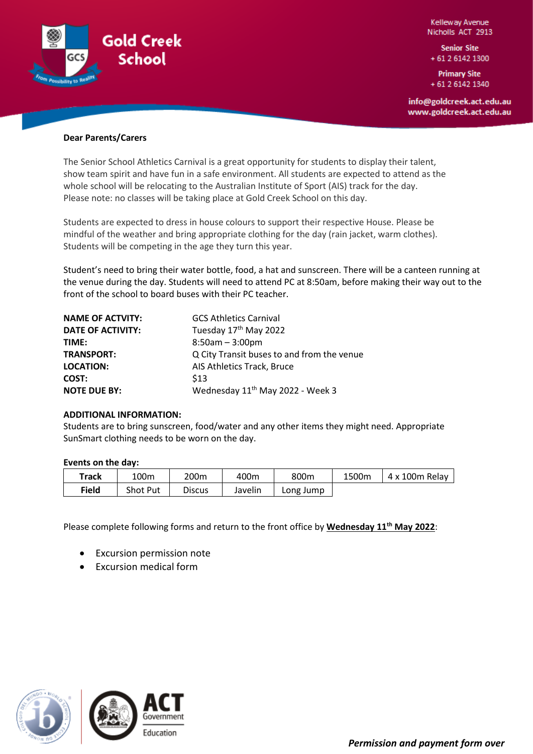

Kelleway Avenue Nicholls ACT 2913

**Senior Site** + 61 2 6142 1300

**Primary Site** + 61 2 6142 1340

info@goldcreek.act.edu.au www.goldcreek.act.edu.au

# **Dear Parents/Carers**

The Senior School Athletics Carnival is a great opportunity for students to display their talent, show team spirit and have fun in a safe environment. All students are expected to attend as the whole school will be relocating to the Australian Institute of Sport (AIS) track for the day. Please note: no classes will be taking place at Gold Creek School on this day.

Students are expected to dress in house colours to support their respective House. Please be mindful of the weather and bring appropriate clothing for the day (rain jacket, warm clothes). Students will be competing in the age they turn this year.

Student's need to bring their water bottle, food, a hat and sunscreen. There will be a canteen running at the venue during the day. Students will need to attend PC at 8:50am, before making their way out to the front of the school to board buses with their PC teacher.

| <b>NAME OF ACTVITY:</b>  | <b>GCS Athletics Carnival</b>                |
|--------------------------|----------------------------------------------|
| <b>DATE OF ACTIVITY:</b> | Tuesday 17 <sup>th</sup> May 2022            |
| TIME:                    | $8:50am - 3:00pm$                            |
| <b>TRANSPORT:</b>        | Q City Transit buses to and from the venue   |
| <b>LOCATION:</b>         | AIS Athletics Track, Bruce                   |
| COST:                    | \$13                                         |
| <b>NOTE DUE BY:</b>      | Wednesday 11 <sup>th</sup> May 2022 - Week 3 |

## **ADDITIONAL INFORMATION:**

Students are to bring sunscreen, food/water and any other items they might need. Appropriate SunSmart clothing needs to be worn on the day.

## **Events on the day:**

| Track | 100 <sub>m</sub> | 200m          | 400m    | 800m      | 1500m | 4 x 100m Relay |
|-------|------------------|---------------|---------|-----------|-------|----------------|
| Field | <b>Shot Put</b>  | <b>Discus</b> | Javelin | Long Jump |       |                |

Please complete following forms and return to the front office by **Wednesday 11th May 2022**:

- **Excursion permission note**
- Excursion medical form

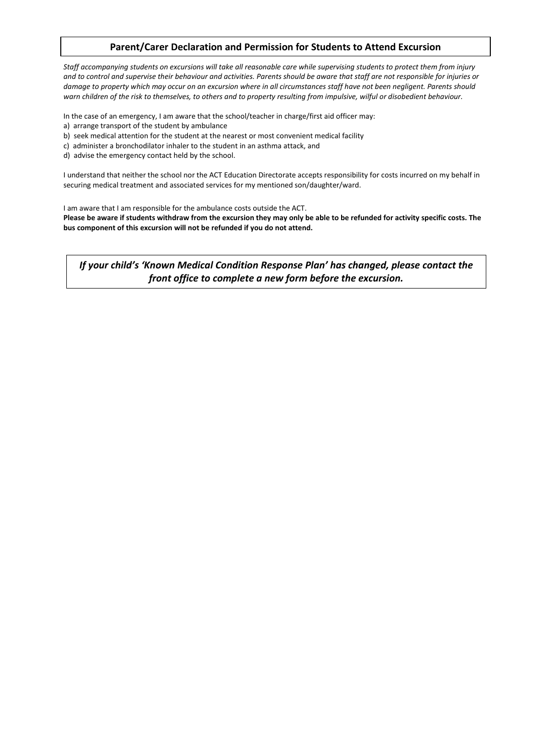# **Parent/Carer Declaration and Permission for Students to Attend Excursion**

*Staff accompanying students on excursions will take all reasonable care while supervising students to protect them from injury and to control and supervise their behaviour and activities. Parents should be aware that staff are not responsible for injuries or damage to property which may occur on an excursion where in all circumstances staff have not been negligent. Parents should warn children of the risk to themselves, to others and to property resulting from impulsive, wilful or disobedient behaviour.*

In the case of an emergency, I am aware that the school/teacher in charge/first aid officer may:

- a) arrange transport of the student by ambulance
- b) seek medical attention for the student at the nearest or most convenient medical facility
- c) administer a bronchodilator inhaler to the student in an asthma attack, and
- d) advise the emergency contact held by the school.

I understand that neither the school nor the ACT Education Directorate accepts responsibility for costs incurred on my behalf in securing medical treatment and associated services for my mentioned son/daughter/ward.

I am aware that I am responsible for the ambulance costs outside the ACT.

**Please be aware if students withdraw from the excursion they may only be able to be refunded for activity specific costs. The bus component of this excursion will not be refunded if you do not attend.**

*If your child's 'Known Medical Condition Response Plan' has changed, please contact the front office to complete a new form before the excursion.*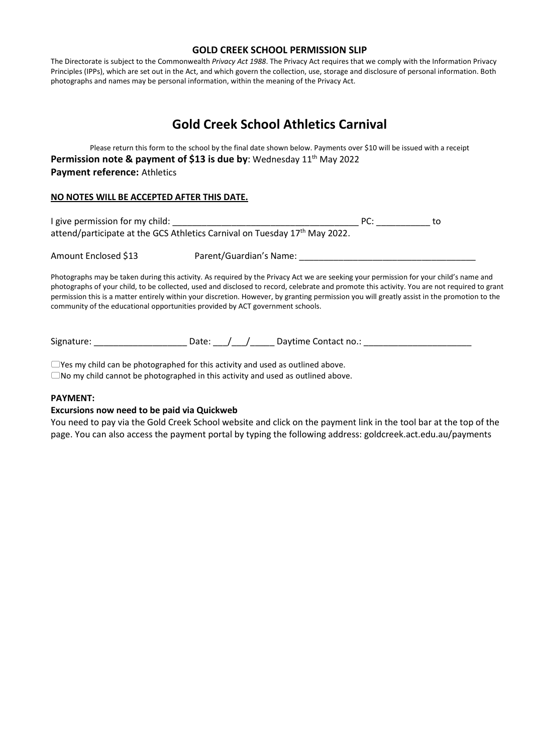# **GOLD CREEK SCHOOL PERMISSION SLIP**

The Directorate is subject to the Commonwealth *Privacy Act 1988*. The Privacy Act requires that we comply with the Information Privacy Principles (IPPs), which are set out in the Act, and which govern the collection, use, storage and disclosure of personal information. Both photographs and names may be personal information, within the meaning of the Privacy Act.

# **Gold Creek School Athletics Carnival**

Please return this form to the school by the final date shown below. Payments over \$10 will be issued with a receipt **Permission note & payment of \$13 is due by:** Wednesday 11<sup>th</sup> May 2022 **Payment reference:** Athletics

# **NO NOTES WILL BE ACCEPTED AFTER THIS DATE.**

| I give permission for my child: |                                                                                                                                        | PC: | to |
|---------------------------------|----------------------------------------------------------------------------------------------------------------------------------------|-----|----|
|                                 | attend/participate at the GCS Athletics Carnival on Tuesday 17 <sup>th</sup> May 2022.                                                 |     |    |
| Amount Enclosed \$13            | Parent/Guardian's Name:                                                                                                                |     |    |
|                                 | Photographs may be taken during this activity. As required by the Privacy Act we are seeking your permission for your child's name and |     |    |

photographs of your child, to be collected, used and disclosed to record, celebrate and promote this activity. You are not required to grant permission this is a matter entirely within your discretion. However, by granting permission you will greatly assist in the promotion to the community of the educational opportunities provided by ACT government schools.

Signature: \_\_\_\_\_\_\_\_\_\_\_\_\_\_\_\_\_\_\_\_\_\_\_\_\_Date: \_\_\_/ \_\_\_/ \_\_\_\_\_\_\_\_\_\_\_ Daytime Contact no.: \_\_\_\_\_\_\_\_\_\_\_\_\_\_

Yes my child can be photographed for this activity and used as outlined above.  $\Box$  No my child cannot be photographed in this activity and used as outlined above.

# **PAYMENT:**

# **Excursions now need to be paid via Quickweb**

You need to pay via the Gold Creek School website and click on the payment link in the tool bar at the top of the page. You can also access the payment portal by typing the following address: goldcreek.act.edu.au/payments